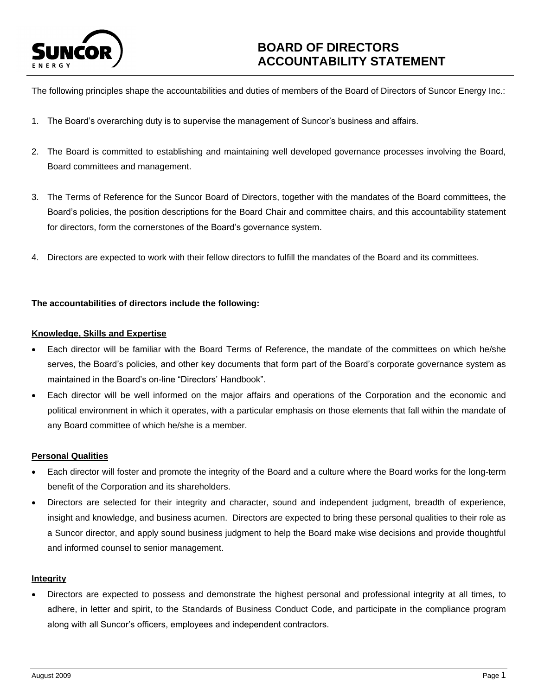

The following principles shape the accountabilities and duties of members of the Board of Directors of Suncor Energy Inc.:

- 1. The Board's overarching duty is to supervise the management of Suncor's business and affairs.
- 2. The Board is committed to establishing and maintaining well developed governance processes involving the Board, Board committees and management.
- 3. The Terms of Reference for the Suncor Board of Directors, together with the mandates of the Board committees, the Board's policies, the position descriptions for the Board Chair and committee chairs, and this accountability statement for directors, form the cornerstones of the Board's governance system.
- 4. Directors are expected to work with their fellow directors to fulfill the mandates of the Board and its committees.

## **The accountabilities of directors include the following:**

## **Knowledge, Skills and Expertise**

- Each director will be familiar with the Board Terms of Reference, the mandate of the committees on which he/she serves, the Board's policies, and other key documents that form part of the Board's corporate governance system as maintained in the Board's on-line "Directors' Handbook".
- political environment in which it operates, with a particular emphasis on those elements that fall within the mandate of Each director will be well informed on the major affairs and operations of the Corporation and the economic and any Board committee of which he/she is a member.

#### **Personal Qualities**

- Each director will foster and promote the integrity of the Board and a culture where the Board works for the long-term benefit of the Corporation and its shareholders.
- Directors are selected for their integrity and character, sound and independent judgment, breadth of experience, insight and knowledge, and business acumen. Directors are expected to bring these personal qualities to their role as a Suncor director, and apply sound business judgment to help the Board make wise decisions and provide thoughtful and informed counsel to senior management.

#### **Integrity**

 Directors are expected to possess and demonstrate the highest personal and professional integrity at all times, to adhere, in letter and spirit, to the Standards of Business Conduct Code, and participate in the compliance program along with all Suncor's officers, employees and independent contractors.